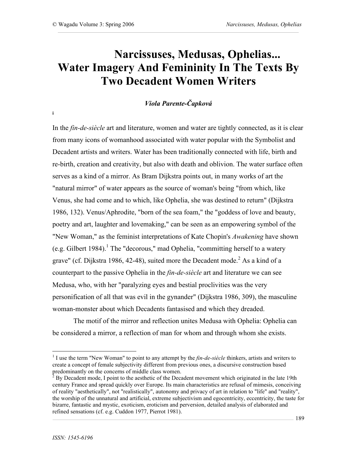**i**

# **Narcissuses, Medusas, Ophelias... Water Imagery And Femininity In The Texts By Two Decadent Women Writers**

## *Viola Parente-Čapková*

In the *fin-de-siècle* art and literature, women and water are tightly connected, as it is clear from many icons of womanhood associated with water popular with the Symbolist and Decadent artists and writers. Water has been traditionally connected with life, birth and re-birth, creation and creativity, but also with death and oblivion. The water surface often serves as a kind of a mirror. As Bram Dijkstra points out, in many works of art the "natural mirror" of water appears as the source of woman's being "from which, like Venus, she had come and to which, like Ophelia, she was destined to return" (Dijkstra 1986, 132). Venus/Aphrodite, "born of the sea foam," the "goddess of love and beauty, poetry and art, laughter and lovemaking," can be seen as an empowering symbol of the "New Woman," as the feminist interpretations of Kate Chopin's *Awakening* have shown (e.g. Gilbert 1984).<sup>1</sup> The "decorous," mad Ophelia, "committing herself to a watery grave" (cf. Dijkstra 1986, 42-48), suited more the Decadent mode. $^2$  As a kind of a counterpart to the passive Ophelia in the *fin-de-siècle* art and literature we can see Medusa, who, with her "paralyzing eyes and bestial proclivities was the very personification of all that was evil in the gynander" (Dijkstra 1986, 309), the masculine woman-monster about which Decadents fantasised and which they dreaded.

The motif of the mirror and reflection unites Medusa with Ophelia: Ophelia can be considered a mirror, a reflection of man for whom and through whom she exists.

 <sup>1</sup> <sup>I</sup> use the term "New Woman" to point to any attempt by the *fin-de-siècle* thinkers, artists and writers to create a concept of female subjectivity different from previous ones, a discursive construction based predominantly on the concerns of middle class women.<br><sup>2</sup> By Decadent mode, I point to the aesthetic of the Decadent movement which originated in the late 19th

century France and spread quickly over Europe. Its main characteristics are refusal of mimesis, conceiving of reality "aesthetically", not "realistically", autonomy and privacy of art in relation to "life" and "reality", the worship of the unnatural and artificial, extreme subjectivism and egocentricity, eccentricity, the taste for bizarre, fantastic and mystic, exoticism, eroticism and perversion, detailed analysis of elaborated and refined sensations (cf. e.g. Cuddon 1977, Pierrot 1981).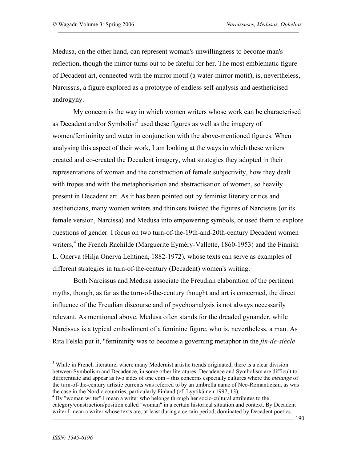Medusa, on the other hand, can represent woman's unwillingness to become man's reflection, though the mirror turns out to be fateful for her. The most emblematic figure of Decadent art, connected with the mirror motif (a water-mirror motif), is, nevertheless, Narcissus, a figure explored as a prototype of endless self-analysis and aestheticised androgyny.

My concern is the way in which women writers whose work can be characterised as Decadent and/or Symbolist<sup>3</sup> used these figures as well as the imagery of women/femininity and water in conjunction with the above-mentioned figures. When analysing this aspect of their work, I am looking at the ways in which these writers created and co-created the Decadent imagery, what strategies they adopted in their representations of woman and the construction of female subjectivity, how they dealt with tropes and with the metaphorisation and abstractisation of women, so heavily present in Decadent art. As it has been pointed out by feminist literary critics and aestheticians, many women writers and thinkers twisted the figures of Narcissus (or its female version, Narcissa) and Medusa into empowering symbols, or used them to explore questions of gender. I focus on two turn-of-the-19th-and-20th-century Decadent women writers,<sup>4</sup> the French Rachilde (Marguerite Eyméry-Vallette, 1860-1953) and the Finnish L. Onerva (Hilja Onerva Lehtinen, 1882-1972), whose texts can serve as examples of different strategies in turn-of-the-century (Decadent) women's writing.

Both Narcissus and Medusa associate the Freudian elaboration of the pertinent myths, though, as far as the turn-of-the-century thought and art is concerned, the direct influence of the Freudian discourse and of psychoanalysis is not always necessarily relevant. As mentioned above, Medusa often stands for the dreaded gynander, while Narcissus is a typical embodiment of a feminine figure, who is, nevertheless, a man. As Rita Felski put it, "femininity was to become a governing metaphor in the *fin-de-siècle*

<sup>&</sup>lt;sup>3</sup> While in French literature, where many Modernist artistic trends originated, there is a clear division between Symbolism and Decadence, in some other literatures, Decadence and Symbolism are difficult to differentiate and appear as two sides of one coin – this concerns especially cultures where the *mélange* of the turn-of-the-century artistic currents was referred to by an umbrella name of Neo-Romanticism, as was the case in the Nordic countries, particularly Finland (cf. Lyytikäinen 1997, 13).

 $t^4$  By "woman writer" I mean a writer who belongs through her socio-cultural attributes to the category/construction/position called "woman" in a certain historical situation and context. By Decadent writer I mean a writer whose texts are, at least during a certain period, dominated by Decadent poetics.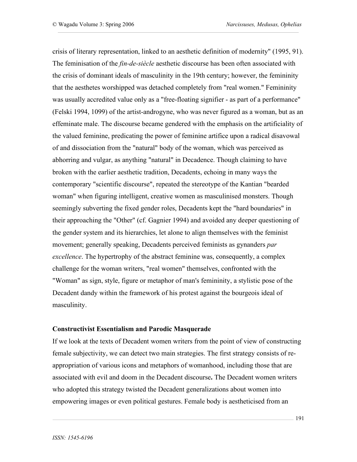crisis of literary representation, linked to an aesthetic definition of modernity" (1995, 91). The feminisation of the *fin-de-siècle* aesthetic discourse has been often associated with the crisis of dominant ideals of masculinity in the 19th century; however, the femininity that the aesthetes worshipped was detached completely from "real women." Femininity was usually accredited value only as a "free-floating signifier - as part of a performance" (Felski 1994, 1099) of the artist-androgyne, who was never figured as a woman, but as an effeminate male. The discourse became gendered with the emphasis on the artificiality of the valued feminine, predicating the power of feminine artifice upon a radical disavowal of and dissociation from the "natural" body of the woman, which was perceived as abhorring and vulgar, as anything "natural" in Decadence. Though claiming to have broken with the earlier aesthetic tradition, Decadents, echoing in many ways the contemporary "scientific discourse", repeated the stereotype of the Kantian "bearded woman" when figuring intelligent, creative women as masculinised monsters. Though seemingly subverting the fixed gender roles, Decadents kept the "hard boundaries" in their approaching the "Other" (cf. Gagnier 1994) and avoided any deeper questioning of the gender system and its hierarchies, let alone to align themselves with the feminist movement; generally speaking, Decadents perceived feminists as gynanders *par excellence*. The hypertrophy of the abstract feminine was, consequently, a complex challenge for the woman writers, "real women" themselves, confronted with the "Woman" as sign, style, figure or metaphor of man's femininity, a stylistic pose of the Decadent dandy within the framework of his protest against the bourgeois ideal of masculinity.

#### **Constructivist Essentialism and Parodic Masquerade**

If we look at the texts of Decadent women writers from the point of view of constructing female subjectivity, we can detect two main strategies. The first strategy consists of reappropriation of various icons and metaphors of womanhood, including those that are associated with evil and doom in the Decadent discourse**.** The Decadent women writers who adopted this strategy twisted the Decadent generalizations about women into empowering images or even political gestures. Female body is aestheticised from an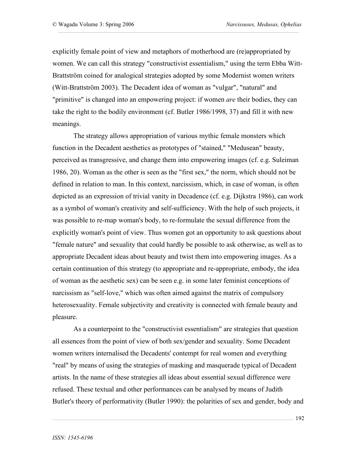explicitly female point of view and metaphors of motherhood are (re)appropriated by women. We can call this strategy "constructivist essentialism," using the term Ebba Witt-Brattström coined for analogical strategies adopted by some Modernist women writers (Witt-Brattström 2003). The Decadent idea of woman as "vulgar", "natural" and "primitive" is changed into an empowering project: if women *are* their bodies, they can take the right to the bodily environment (cf. Butler 1986/1998, 37) and fill it with new meanings.

The strategy allows appropriation of various mythic female monsters which function in the Decadent aesthetics as prototypes of "stained," "Medusean" beauty, perceived as transgressive, and change them into empowering images (cf. e.g. Suleiman 1986, 20). Woman as the other is seen as the "first sex," the norm, which should not be defined in relation to man. In this context, narcissism, which, in case of woman, is often depicted as an expression of trivial vanity in Decadence (cf. e.g. Dijkstra 1986), can work as a symbol of woman's creativity and self-sufficiency. With the help of such projects, it was possible to re-map woman's body, to re-formulate the sexual difference from the explicitly woman's point of view. Thus women got an opportunity to ask questions about "female nature" and sexuality that could hardly be possible to ask otherwise, as well as to appropriate Decadent ideas about beauty and twist them into empowering images. As a certain continuation of this strategy (to appropriate and re-appropriate, embody, the idea of woman as the aesthetic sex) can be seen e.g. in some later feminist conceptions of narcissism as "self-love," which was often aimed against the matrix of compulsory heterosexuality. Female subjectivity and creativity is connected with female beauty and pleasure.

As a counterpoint to the "constructivist essentialism" are strategies that question all essences from the point of view of both sex/gender and sexuality. Some Decadent women writers internalised the Decadents' contempt for real women and everything "real" by means of using the strategies of masking and masquerade typical of Decadent artists. In the name of these strategies all ideas about essential sexual difference were refused. These textual and other performances can be analysed by means of Judith Butler's theory of performativity (Butler 1990): the polarities of sex and gender, body and

192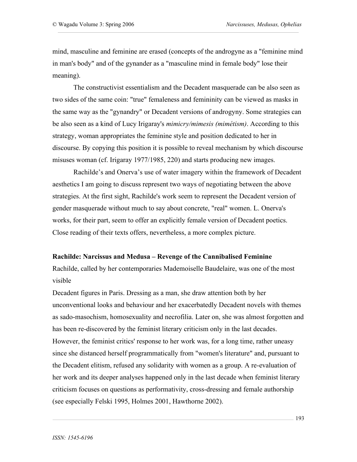mind, masculine and feminine are erased (concepts of the androgyne as a "feminine mind in man's body" and of the gynander as a "masculine mind in female body" lose their meaning).

The constructivist essentialism and the Decadent masquerade can be also seen as two sides of the same coin: "true" femaleness and femininity can be viewed as masks in the same way as the "gynandry" or Decadent versions of androgyny. Some strategies can be also seen as a kind of Lucy Irigaray's *mimicry/mimesis (mimétism)*. According to this strategy, woman appropriates the feminine style and position dedicated to her in discourse. By copying this position it is possible to reveal mechanism by which discourse misuses woman (cf. Irigaray 1977/1985, 220) and starts producing new images.

Rachilde's and Onerva's use of water imagery within the framework of Decadent aesthetics I am going to discuss represent two ways of negotiating between the above strategies. At the first sight, Rachilde's work seem to represent the Decadent version of gender masquerade without much to say about concrete, "real" women. L. Onerva's works, for their part, seem to offer an explicitly female version of Decadent poetics. Close reading of their texts offers, nevertheless, a more complex picture.

#### **Rachilde: Narcissus and Medusa – Revenge of the Cannibalised Feminine**

Rachilde, called by her contemporaries Mademoiselle Baudelaire, was one of the most visible

Decadent figures in Paris. Dressing as a man, she draw attention both by her unconventional looks and behaviour and her exacerbatedly Decadent novels with themes as sado-masochism, homosexuality and necrofilia. Later on, she was almost forgotten and has been re-discovered by the feminist literary criticism only in the last decades. However, the feminist critics' response to her work was, for a long time, rather uneasy since she distanced herself programmatically from "women's literature" and, pursuant to the Decadent elitism, refused any solidarity with women as a group. A re-evaluation of her work and its deeper analyses happened only in the last decade when feminist literary criticism focuses on questions as performativity, cross-dressing and female authorship (see especially Felski 1995, Holmes 2001, Hawthorne 2002).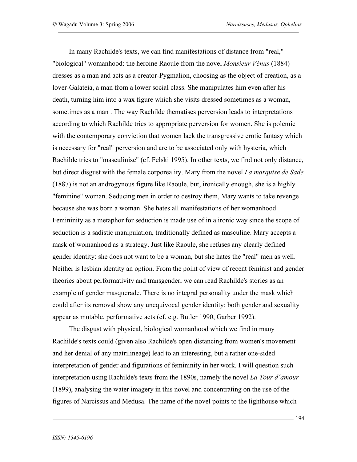In many Rachilde's texts, we can find manifestations of distance from "real," "biological" womanhood: the heroine Raoule from the novel *Monsieur Vénus* (1884) dresses as a man and acts as a creator-Pygmalion, choosing as the object of creation, as a lover-Galateia, a man from a lower social class. She manipulates him even after his death, turning him into a wax figure which she visits dressed sometimes as a woman, sometimes as a man . The way Rachilde thematises perversion leads to interpretations according to which Rachilde tries to appropriate perversion for women. She is polemic with the contemporary conviction that women lack the transgressive erotic fantasy which is necessary for "real" perversion and are to be associated only with hysteria, which Rachilde tries to "masculinise" (cf. Felski 1995). In other texts, we find not only distance, but direct disgust with the female corporeality. Mary from the novel *La marquise de Sade* (1887) is not an androgynous figure like Raoule, but, ironically enough, she is a highly "feminine" woman. Seducing men in order to destroy them, Mary wants to take revenge because she was born a woman. She hates all manifestations of her womanhood. Femininity as a metaphor for seduction is made use of in a ironic way since the scope of seduction is a sadistic manipulation, traditionally defined as masculine. Mary accepts a mask of womanhood as a strategy. Just like Raoule, she refuses any clearly defined gender identity: she does not want to be a woman, but she hates the "real" men as well. Neither is lesbian identity an option. From the point of view of recent feminist and gender theories about performativity and transgender, we can read Rachilde's stories as an example of gender masquerade. There is no integral personality under the mask which could after its removal show any unequivocal gender identity: both gender and sexuality appear as mutable, performative acts (cf. e.g. Butler 1990, Garber 1992).

The disgust with physical, biological womanhood which we find in many Rachilde's texts could (given also Rachilde's open distancing from women's movement and her denial of any matrilineage) lead to an interesting, but a rather one-sided interpretation of gender and figurations of femininity in her work. I will question such interpretation using Rachilde's texts from the 1890s, namely the novel *La Tour d´amour* (1899), analysing the water imagery in this novel and concentrating on the use of the figures of Narcissus and Medusa. The name of the novel points to the lighthouse which

194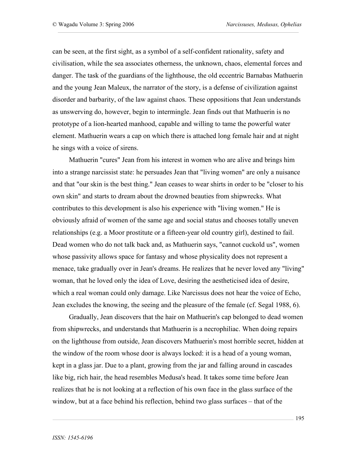can be seen, at the first sight, as a symbol of a self-confident rationality, safety and civilisation, while the sea associates otherness, the unknown, chaos, elemental forces and danger. The task of the guardians of the lighthouse, the old eccentric Barnabas Mathuerin and the young Jean Maleux, the narrator of the story, is a defense of civilization against disorder and barbarity, of the law against chaos. These oppositions that Jean understands as unswerving do, however, begin to intermingle. Jean finds out that Mathuerin is no prototype of a lion-hearted manhood, capable and willing to tame the powerful water element. Mathuerin wears a cap on which there is attached long female hair and at night he sings with a voice of sirens.

Mathuerin "cures" Jean from his interest in women who are alive and brings him into a strange narcissist state: he persuades Jean that "living women" are only a nuisance and that "our skin is the best thing." Jean ceases to wear shirts in order to be "closer to his own skin" and starts to dream about the drowned beauties from shipwrecks. What contributes to this development is also his experience with "living women." He is obviously afraid of women of the same age and social status and chooses totally uneven relationships (e.g. a Moor prostitute or a fifteen-year old country girl), destined to fail. Dead women who do not talk back and, as Mathuerin says, "cannot cuckold us", women whose passivity allows space for fantasy and whose physicality does not represent a menace, take gradually over in Jean's dreams. He realizes that he never loved any "living" woman, that he loved only the idea of Love, desiring the aestheticised idea of desire, which a real woman could only damage. Like Narcissus does not hear the voice of Echo, Jean excludes the knowing, the seeing and the pleasure of the female (cf. Segal 1988, 6).

Gradually, Jean discovers that the hair on Mathuerin's cap belonged to dead women from shipwrecks, and understands that Mathuerin is a necrophiliac. When doing repairs on the lighthouse from outside, Jean discovers Mathuerin's most horrible secret, hidden at the window of the room whose door is always locked: it is a head of a young woman, kept in a glass jar. Due to a plant, growing from the jar and falling around in cascades like big, rich hair, the head resembles Medusa's head. It takes some time before Jean realizes that he is not looking at a reflection of his own face in the glass surface of the window, but at a face behind his reflection, behind two glass surfaces – that of the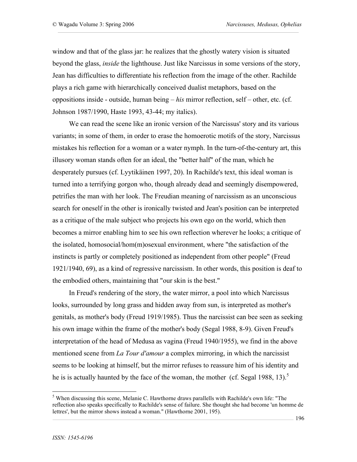window and that of the glass jar: he realizes that the ghostly watery vision is situated beyond the glass, *inside* the lighthouse. Just like Narcissus in some versions of the story, Jean has difficulties to differentiate his reflection from the image of the other. Rachilde plays a rich game with hierarchically conceived dualist metaphors, based on the oppositions inside - outside, human being – *his* mirror reflection, self – other, etc. (cf. Johnson 1987/1990, Haste 1993, 43-44; my italics).

We can read the scene like an ironic version of the Narcissus' story and its various variants; in some of them, in order to erase the homoerotic motifs of the story, Narcissus mistakes his reflection for a woman or a water nymph. In the turn-of-the-century art, this illusory woman stands often for an ideal, the "better half" of the man, which he desperately pursues (cf. Lyytikäinen 1997, 20). In Rachilde's text, this ideal woman is turned into a terrifying gorgon who, though already dead and seemingly disempowered, petrifies the man with her look. The Freudian meaning of narcissism as an unconscious search for oneself in the other is ironically twisted and Jean's position can be interpreted as a critique of the male subject who projects his own ego on the world, which then becomes a mirror enabling him to see his own reflection wherever he looks; a critique of the isolated, homosocial/hom(m)osexual environment, where "the satisfaction of the instincts is partly or completely positioned as independent from other people" (Freud 1921/1940, 69), as a kind of regressive narcissism. In other words, this position is deaf to the embodied others, maintaining that "our skin is the best."

In Freud's rendering of the story, the water mirror, a pool into which Narcissus looks, surrounded by long grass and hidden away from sun, is interpreted as mother's genitals, as mother's body (Freud 1919/1985). Thus the narcissist can bee seen as seeking his own image within the frame of the mother's body (Segal 1988, 8-9). Given Freud's interpretation of the head of Medusa as vagina (Freud 1940/1955), we find in the above mentioned scene from *La Tour d'amour* a complex mirroring, in which the narcissist seems to be looking at himself, but the mirror refuses to reassure him of his identity and he is is actually haunted by the face of the woman, the mother (cf. Segal 1988, 13).<sup>5</sup>

<sup>&</sup>lt;sup>5</sup> When discussing this scene, Melanie C. Hawthorne draws parallells with Rachilde's own life: "The reflection also speaks specifically to Rachilde's sense of failure. She thought she had become 'un homme de lettres', but the mirror shows instead a woman." (Hawthorne 2001, 195).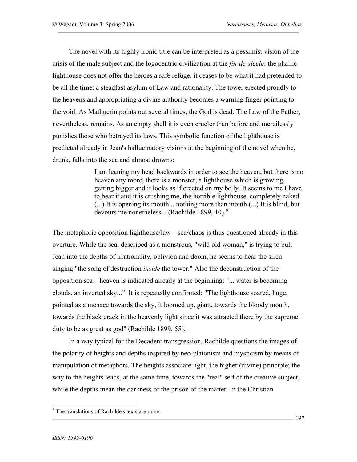The novel with its highly ironic title can be interpreted as a pessimist vision of the crisis of the male subject and the logocentric civilization at the *fin-de-siècle*: the phallic lighthouse does not offer the heroes a safe refuge, it ceases to be what it had pretended to be all the time: a steadfast asylum of Law and rationality. The tower erected proudly to the heavens and appropriating a divine authority becomes a warning finger pointing to the void. As Mathuerin points out several times, the God is dead. The Law of the Father, nevertheless, remains. As an empty shell it is even crueler than before and mercilessly punishes those who betrayed its laws. This symbolic function of the lighthouse is predicted already in Jean's hallucinatory visions at the beginning of the novel when he, drunk, falls into the sea and almost drowns:

> I am leaning my head backwards in order to see the heaven, but there is no heaven any more, there is a monster, a lighthouse which is growing, getting bigger and it looks as if erected on my belly. It seems to me I have to bear it and it is crushing me, the horrible lighthouse, completely naked (...) It is opening its mouth... nothing more than mouth (...) It is blind, but devours me nonetheless... (Rachilde 1899, 10).<sup>6</sup>

The metaphoric opposition lighthouse/law – sea/chaos is thus questioned already in this overture. While the sea, described as a monstrous, "wild old woman," is trying to pull Jean into the depths of irrationality, oblivion and doom, he seems to hear the siren singing "the song of destruction *inside* the tower." Also the deconstruction of the opposition sea – heaven is indicated already at the beginning: "... water is becoming clouds, an inverted sky..." It is repeatedly confirmed: "The lighthouse soared, huge, pointed as a menace towards the sky, it loomed up, giant, towards the bloody mouth, towards the black crack in the heavenly light since it was attracted there by the supreme duty to be as great as god" (Rachilde 1899, 55).

In a way typical for the Decadent transgression, Rachilde questions the images of the polarity of heights and depths inspired by neo-platonism and mysticism by means of manipulation of metaphors. The heights associate light, the higher (divine) principle; the way to the heights leads, at the same time, towards the "real" self of the creative subject, while the depths mean the darkness of the prison of the matter. In the Christian

 $<sup>6</sup>$  The translations of Rachilde's texts are mine.</sup>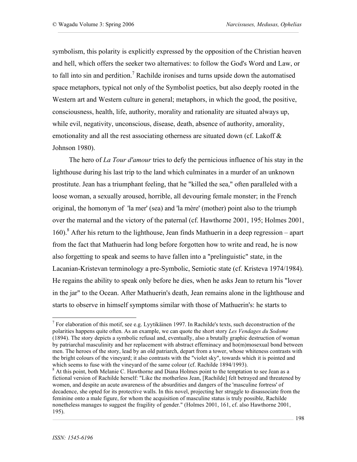symbolism, this polarity is explicitly expressed by the opposition of the Christian heaven and hell, which offers the seeker two alternatives: to follow the God's Word and Law, or to fall into sin and perdition.<sup>7</sup> Rachilde ironises and turns upside down the automatised space metaphors, typical not only of the Symbolist poetics, but also deeply rooted in the Western art and Western culture in general; metaphors, in which the good, the positive, consciousness, health, life, authority, morality and rationality are situated always up, while evil, negativity, unconscious, disease, death, absence of authority, amorality, emotionality and all the rest associating otherness are situated down (cf. Lakoff  $\&$ Johnson 1980).

The hero of *La Tour d'amour* tries to defy the pernicious influence of his stay in the lighthouse during his last trip to the land which culminates in a murder of an unknown prostitute. Jean has a triumphant feeling, that he "killed the sea," often paralleled with a loose woman, a sexually aroused, horrible, all devouring female monster; in the French original, the homonym of 'la mer' (sea) and 'la mère' (mother) point also to the triumph over the maternal and the victory of the paternal (cf. Hawthorne 2001, 195; Holmes 2001, 160).<sup>8</sup> After his return to the lighthouse, Jean finds Mathuerin in a deep regression – apart from the fact that Mathuerin had long before forgotten how to write and read, he is now also forgetting to speak and seems to have fallen into a "prelinguistic" state, in the Lacanian-Kristevan terminology a pre-Symbolic, Semiotic state (cf. Kristeva 1974/1984). He regains the ability to speak only before he dies, when he asks Jean to return his "lover in the jar" to the Ocean. After Mathuerin's death, Jean remains alone in the lighthouse and starts to observe in himself symptoms similar with those of Mathuerin's: he starts to

 $7$  For elaboration of this motif, see e.g. Lyytikäinen 1997. In Rachilde's texts, such deconstruction of the polarities happens quite often. As an example, we can quote the short story *Les Vendages du Sodome* (1894). The story depicts a symbolic refusal and, eventually, also a brutally graphic destruction of woman by patriarchal masculinity and her replacement with abstract effeminacy and ho(m)mosexual bond between men. The heroes of the story, lead by an old patriarch, depart from a tower, whose whiteness contrasts with the bright colours of the vineyard; it also contrasts with the "violet sky", towards which it is pointed and

which seems to fuse with the vineyard of the same colour (cf. Rachilde 1894/1993).<br><sup>8</sup> At this point, both Melanie C. Hawthorne and Diana Holmes point to the temptation to see Jean as a fictional version of Rachilde herself: "Like the motherless Jean, [Rachilde] felt betrayed and threatened by women, and despite an acute awareness of the absurdities and dangers of the 'masculine fortress' of decadence, she opted for its protective walls. In this novel, projecting her struggle to disassociate from the feminine onto a male figure, for whom the acquisition of masculine status is truly possible, Rachilde nonetheless manages to suggest the fragility of gender." (Holmes 2001, 161, cf. also Hawthorne 2001, 195).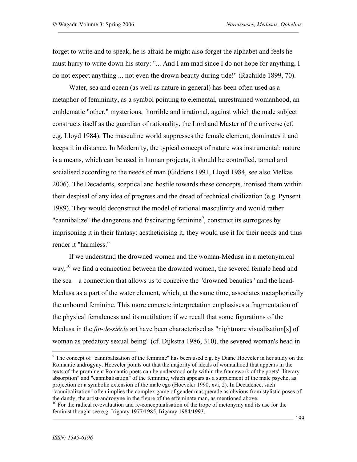forget to write and to speak, he is afraid he might also forget the alphabet and feels he must hurry to write down his story: "... And I am mad since I do not hope for anything, I do not expect anything ... not even the drown beauty during tide!" (Rachilde 1899, 70).

Water, sea and ocean (as well as nature in general) has been often used as a metaphor of femininity, as a symbol pointing to elemental, unrestrained womanhood, an emblematic "other," mysterious, horrible and irrational, against which the male subject constructs itself as the guardian of rationality, the Lord and Master of the universe (cf. e.g. Lloyd 1984). The masculine world suppresses the female element, dominates it and keeps it in distance. In Modernity, the typical concept of nature was instrumental: nature is a means, which can be used in human projects, it should be controlled, tamed and socialised according to the needs of man (Giddens 1991, Lloyd 1984, see also Melkas 2006). The Decadents, sceptical and hostile towards these concepts, ironised them within their despisal of any idea of progress and the dread of technical civilization (e.g. Pynsent 1989). They would deconstruct the model of rational masculinity and would rather "cannibalize" the dangerous and fascinating feminine<sup>9</sup>, construct its surrogates by imprisoning it in their fantasy: aestheticising it, they would use it for their needs and thus render it "harmless."

If we understand the drowned women and the woman-Medusa in a metonymical way,<sup>10</sup> we find a connection between the drowned women, the severed female head and the sea – a connection that allows us to conceive the "drowned beauties" and the head-Medusa as a part of the water element, which, at the same time, associates metaphorically the unbound feminine. This more concrete interpretation emphasises a fragmentation of the physical femaleness and its mutilation; if we recall that some figurations of the Medusa in the *fin-de-siècle* art have been characterised as "nightmare visualisation[s] of woman as predatory sexual being" (cf. Dijkstra 1986, 310), the severed woman's head in

 $9$  The concept of "cannibalisation of the feminine" has been used e.g. by Diane Hoeveler in her study on the Romantic androgyny. Hoeveler points out that the majority of ideals of womanhood that appears in the texts of the prominent Romantic poets can be understood only within the framework of the poets' "literary absorption" and "cannibalisation" of the feminine, which appears as a supplement of the male psyche, as projection or a symbolic extension of the male ego (Hoeveler 1990, xvi, 2). In Decadence, such "cannibalization" often implies the complex game of gender masquerade as obvious from stylistic poses of the dandy, the artist-androgyne in the figure of the effeminate man, as mentioned above.<br><sup>10</sup> For the radical re-evaluation and re-conceptualisation of the trope of metonymy and its use for the

feminist thought see e.g. Irigaray 1977/1985, Irigaray 1984/1993.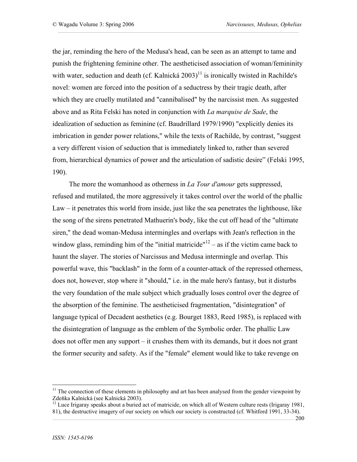the jar, reminding the hero of the Medusa's head, can be seen as an attempt to tame and punish the frightening feminine other. The aestheticised association of woman/femininity with water, seduction and death (cf. Kalnická  $2003$ )<sup>11</sup> is ironically twisted in Rachilde's novel: women are forced into the position of a seductress by their tragic death, after which they are cruelly mutilated and "cannibalised" by the narcissist men. As suggested above and as Rita Felski has noted in conjunction with *La marquise de Sade*, the idealization of seduction as feminine (cf. Baudrillard 1979/1990) "explicitly denies its imbrication in gender power relations," while the texts of Rachilde, by contrast, "suggest a very different vision of seduction that is immediately linked to, rather than severed from, hierarchical dynamics of power and the articulation of sadistic desire" (Felski 1995, 190).

The more the womanhood as otherness in *La Tour d'amour* gets suppressed, refused and mutilated, the more aggressively it takes control over the world of the phallic Law – it penetrates this world from inside, just like the sea penetrates the lighthouse, like the song of the sirens penetrated Mathuerin's body, like the cut off head of the "ultimate siren," the dead woman-Medusa intermingles and overlaps with Jean's reflection in the window glass, reminding him of the "initial matricide"<sup>12</sup> – as if the victim came back to haunt the slayer. The stories of Narcissus and Medusa intermingle and overlap. This powerful wave, this "backlash" in the form of a counter-attack of the repressed otherness, does not, however, stop where it "should," i.e. in the male hero's fantasy, but it disturbs the very foundation of the male subject which gradually loses control over the degree of the absorption of the feminine. The aestheticised fragmentation, "disintegration" of language typical of Decadent aesthetics (e.g. Bourget 1883, Reed 1985), is replaced with the disintegration of language as the emblem of the Symbolic order. The phallic Law does not offer men any support – it crushes them with its demands, but it does not grant the former security and safety. As if the "female" element would like to take revenge on

 $11$  The connection of these elements in philosophy and art has been analysed from the gender viewpoint by Zdeňka Kalnická (see Kalnická 2003).<br><sup>12</sup> Luce Irigaray speaks about a buried act of matricide, on which all of Western culture rests (Irigaray 1981,

<sup>81),</sup> the destructive imagery of our society on which our society is constructed (cf. Whitford 1991, 33-34).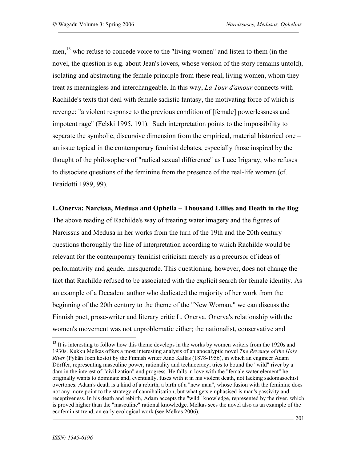men,<sup>13</sup> who refuse to concede voice to the "living women" and listen to them (in the novel, the question is e.g. about Jean's lovers, whose version of the story remains untold), isolating and abstracting the female principle from these real, living women, whom they treat as meaningless and interchangeable. In this way, *La Tour d'amour* connects with Rachilde's texts that deal with female sadistic fantasy, the motivating force of which is revenge: "a violent response to the previous condition of [female] powerlessness and impotent rage" (Felski 1995, 191). Such interpretation points to the impossibility to separate the symbolic, discursive dimension from the empirical, material historical one – an issue topical in the contemporary feminist debates, especially those inspired by the thought of the philosophers of "radical sexual difference" as Luce Irigaray, who refuses to dissociate questions of the feminine from the presence of the real-life women (cf. Braidotti 1989, 99).

#### **L.Onerva: Narcissa, Medusa and Ophelia – Thousand Lillies and Death in the Bog**

The above reading of Rachilde's way of treating water imagery and the figures of Narcissus and Medusa in her works from the turn of the 19th and the 20th century questions thoroughly the line of interpretation according to which Rachilde would be relevant for the contemporary feminist criticism merely as a precursor of ideas of performativity and gender masquerade. This questioning, however, does not change the fact that Rachilde refused to be associated with the explicit search for female identity. As an example of a Decadent author who dedicated the majority of her work from the beginning of the 20th century to the theme of the "New Woman," we can discuss the Finnish poet, prose-writer and literary critic L. Onerva. Onerva's relationship with the women's movement was not unproblematic either; the nationalist, conservative and

<sup>&</sup>lt;sup>13</sup> It is interesting to follow how this theme develops in the works by women writers from the 1920s and 1930s. Kukku Melkas offers a most interesting analysis of an apocalyptic novel *The Revenge of the Holy River* (Pyhän Joen kosto) by the Finnish writer Aino Kallas (1878-1956), in which an engineer Adam Dörffer, representing masculine power, rationality and technocracy, tries to bound the "wild" river by a dam in the interest of "civilization" and progress. He falls in love with the "female water element" he originally wants to dominate and, eventually, fuses with it in his violent death, not lacking sadomasochist overtones. Adam's death is a kind of a rebirth, a birth of a "new man", whose fusion with the feminine does not any more point to the strategy of cannibalisation, but what gets emphasised is man's passivity and receptiveness. In his death and rebirth, Adam accepts the "wild" knowledge, represented by the river, which is proved higher than the "masculine" rational knowledge. Melkas sees the novel also as an example of the ecofeminist trend, an early ecological work (see Melkas 2006).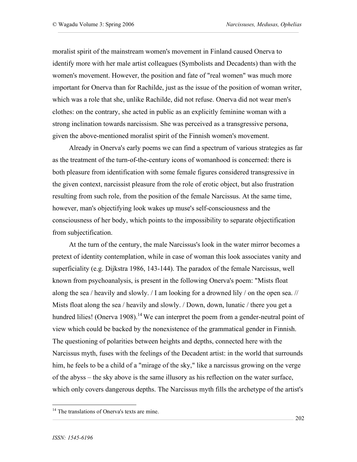moralist spirit of the mainstream women's movement in Finland caused Onerva to identify more with her male artist colleagues (Symbolists and Decadents) than with the women's movement. However, the position and fate of "real women" was much more important for Onerva than for Rachilde, just as the issue of the position of woman writer, which was a role that she, unlike Rachilde, did not refuse. Onerva did not wear men's clothes: on the contrary, she acted in public as an explicitly feminine woman with a strong inclination towards narcissism. She was perceived as a transgressive persona, given the above-mentioned moralist spirit of the Finnish women's movement.

Already in Onerva's early poems we can find a spectrum of various strategies as far as the treatment of the turn-of-the-century icons of womanhood is concerned: there is both pleasure from identification with some female figures considered transgressive in the given context, narcissist pleasure from the role of erotic object, but also frustration resulting from such role, from the position of the female Narcissus. At the same time, however, man's objectifying look wakes up muse's self-consciousness and the consciousness of her body, which points to the impossibility to separate objectification from subjectification.

At the turn of the century, the male Narcissus's look in the water mirror becomes a pretext of identity contemplation, while in case of woman this look associates vanity and superficiality (e.g. Dijkstra 1986, 143-144). The paradox of the female Narcissus, well known from psychoanalysis, is present in the following Onerva's poem: "Mists float along the sea / heavily and slowly.  $\frac{1}{1}$  am looking for a drowned lily  $\frac{1}{1}$  on the open sea.  $\frac{1}{1}$ Mists float along the sea / heavily and slowly. / Down, down, lunatic / there you get a hundred lilies! (Onerva 1908).<sup>14</sup> We can interpret the poem from a gender-neutral point of view which could be backed by the nonexistence of the grammatical gender in Finnish. The questioning of polarities between heights and depths, connected here with the Narcissus myth, fuses with the feelings of the Decadent artist: in the world that surrounds him, he feels to be a child of a "mirage of the sky," like a narcissus growing on the verge of the abyss – the sky above is the same illusory as his reflection on the water surface, which only covers dangerous depths. The Narcissus myth fills the archetype of the artist's

<sup>&</sup>lt;sup>14</sup> The translations of Onerva's texts are mine.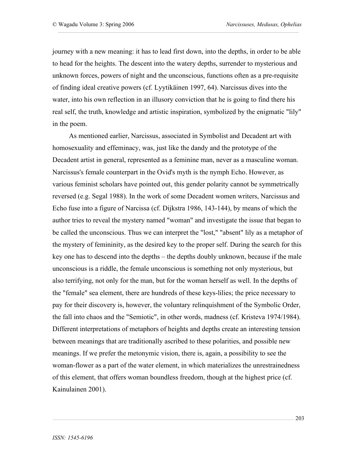journey with a new meaning: it has to lead first down, into the depths, in order to be able to head for the heights. The descent into the watery depths, surrender to mysterious and unknown forces, powers of night and the unconscious, functions often as a pre-requisite of finding ideal creative powers (cf. Lyytikäinen 1997, 64). Narcissus dives into the water, into his own reflection in an illusory conviction that he is going to find there his real self, the truth, knowledge and artistic inspiration, symbolized by the enigmatic "lily" in the poem.

As mentioned earlier, Narcissus, associated in Symbolist and Decadent art with homosexuality and effeminacy, was, just like the dandy and the prototype of the Decadent artist in general, represented as a feminine man, never as a masculine woman. Narcissus's female counterpart in the Ovid's myth is the nymph Echo. However, as various feminist scholars have pointed out, this gender polarity cannot be symmetrically reversed (e.g. Segal 1988). In the work of some Decadent women writers, Narcissus and Echo fuse into a figure of Narcissa (cf. Dijkstra 1986, 143-144), by means of which the author tries to reveal the mystery named "woman" and investigate the issue that began to be called the unconscious. Thus we can interpret the "lost," "absent" lily as a metaphor of the mystery of femininity, as the desired key to the proper self. During the search for this key one has to descend into the depths – the depths doubly unknown, because if the male unconscious is a riddle, the female unconscious is something not only mysterious, but also terrifying, not only for the man, but for the woman herself as well. In the depths of the "female" sea element, there are hundreds of these keys-lilies; the price necessary to pay for their discovery is, however, the voluntary relinquishment of the Symbolic Order, the fall into chaos and the "Semiotic", in other words, madness (cf. Kristeva 1974/1984). Different interpretations of metaphors of heights and depths create an interesting tension between meanings that are traditionally ascribed to these polarities, and possible new meanings. If we prefer the metonymic vision, there is, again, a possibility to see the woman-flower as a part of the water element, in which materializes the unrestrainedness of this element, that offers woman boundless freedom, though at the highest price (cf. Kainulainen 2001).

203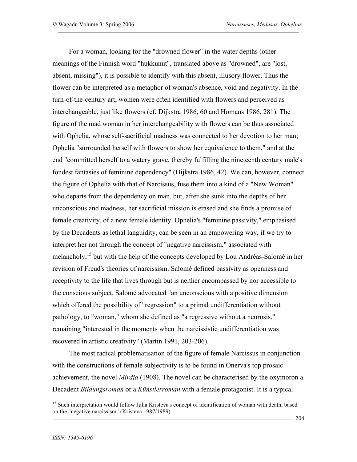For a woman, looking for the "drowned flower" in the water depths (other meanings of the Finnish word "hukkunut", translated above as "drowned", are "lost, absent, missing"), it is possible to identify with this absent, illusory flower. Thus the flower can be interpreted as a metaphor of woman's absence, void and negativity. In the turn-of-the-century art, women were often identified with flowers and perceived as interchangeable, just like flowers (cf. Dijkstra 1986, 60 and Homans 1986, 281). The figure of the mad woman in her interchangeability with flowers can be thus associated with Ophelia, whose self-sacrificial madness was connected to her devotion to her man; Ophelia "surrounded herself with flowers to show her equivalence to them," and at the end "committed herself to a watery grave, thereby fulfilling the nineteenth century male's fondest fantasies of feminine dependency" (Dijkstra 1986, 42). We can, however, connect the figure of Ophelia with that of Narcissus, fuse them into a kind of a "New Woman" who departs from the dependency on man, but, after she sunk into the depths of her unconscious and madness, her sacrificial mission is erased and she finds a promise of female creativity, of a new female identity. Ophelia's "feminine passivity," emphasised by the Decadents as lethal languidity, can be seen in an empowering way, if we try to interpret her not through the concept of "negative narcissism," associated with melancholy, 15 but with the help of the concepts developed by Lou Andréas-Salomé in her revision of Freud's theories of narcissism. Salomé defined passivity as openness and receptivity to the life that lives through but is neither encompassed by nor accessible to the conscious subject. Salomé advocated "an unconscious with a positive dimension which offered the possibility of "regression" to a primal undifferentiation without pathology, to "woman," whom she defined as "a regressive without a neurosis," remaining "interested in the moments when the narcissistic undifferentiation was recovered in artistic creativity" (Martin 1991, 203-206).

The most radical problematisation of the figure of female Narcissus in conjunction with the constructions of female subjectivity is to be found in Onerva's top prosaic achievement, the novel *Mirdja* (1908). The novel can be characterised by the oxymoron a Decadent *Bildungsroman* or a *Künstlerroman* with a female protagonist. It is a typical

<sup>&</sup>lt;sup>15</sup> Such interpretation would follow Julia Kristeva's concept of identification of woman with death, based on the "negative narcissism" (Kristeva 1987/1989).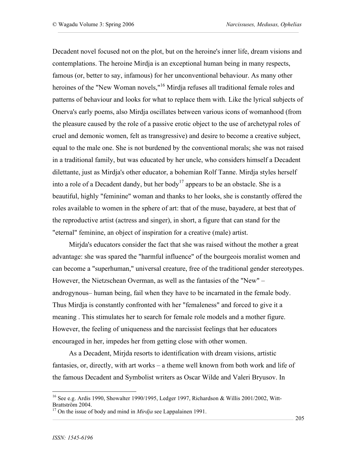Decadent novel focused not on the plot, but on the heroine's inner life, dream visions and contemplations. The heroine Mirdja is an exceptional human being in many respects, famous (or, better to say, infamous) for her unconventional behaviour. As many other heroines of the "New Woman novels,"<sup>16</sup> Mirdja refuses all traditional female roles and patterns of behaviour and looks for what to replace them with. Like the lyrical subjects of Onerva's early poems, also Mirdja oscillates between various icons of womanhood (from the pleasure caused by the role of a passive erotic object to the use of archetypal roles of cruel and demonic women, felt as transgressive) and desire to become a creative subject, equal to the male one. She is not burdened by the conventional morals; she was not raised in a traditional family, but was educated by her uncle, who considers himself a Decadent dilettante, just as Mirdja's other educator, a bohemian Rolf Tanne. Mirdja styles herself into a role of a Decadent dandy, but her body<sup>17</sup> appears to be an obstacle. She is a beautiful, highly "feminine" woman and thanks to her looks, she is constantly offered the roles available to women in the sphere of art: that of the muse, bayadere, at best that of the reproductive artist (actress and singer), in short, a figure that can stand for the "eternal" feminine, an object of inspiration for a creative (male) artist.

Mirjda's educators consider the fact that she was raised without the mother a great advantage: she was spared the "harmful influence" of the bourgeois moralist women and can become a "superhuman," universal creature, free of the traditional gender stereotypes. However, the Nietzschean Overman, as well as the fantasies of the "New" – androgynous– human being, fail when they have to be incarnated in the female body. Thus Mirdja is constantly confronted with her "femaleness" and forced to give it a meaning . This stimulates her to search for female role models and a mother figure. However, the feeling of uniqueness and the narcissist feelings that her educators encouraged in her, impedes her from getting close with other women.

As a Decadent, Mirjda resorts to identification with dream visions, artistic fantasies, or, directly, with art works – a theme well known from both work and life of the famous Decadent and Symbolist writers as Oscar Wilde and Valeri Bryusov. In

<sup>&</sup>lt;sup>16</sup> See e.g. Ardis 1990, Showalter 1990/1995, Ledger 1997, Richardson & Willis 2001/2002, Witt-Brattström 2004.

 $17$  On the issue of body and mind in *Mirdja* see Lappalainen 1991.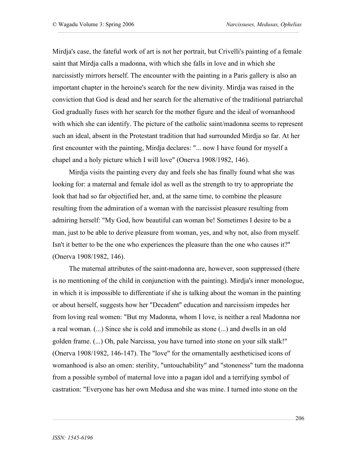Mirdja's case, the fateful work of art is not her portrait, but Crivelli's painting of a female saint that Mirdja calls a madonna, with which she falls in love and in which she narcissistly mirrors herself. The encounter with the painting in a Paris gallery is also an important chapter in the heroine's search for the new divinity. Mirdja was raised in the conviction that God is dead and her search for the alternative of the traditional patriarchal God gradually fuses with her search for the mother figure and the ideal of womanhood with which she can identify. The picture of the catholic saint/madonna seems to represent such an ideal, absent in the Protestant tradition that had surrounded Mirdja so far. At her first encounter with the painting, Mirdja declares: "... now I have found for myself a chapel and a holy picture which I will love" (Onerva 1908/1982, 146).

Mirdja visits the painting every day and feels she has finally found what she was looking for: a maternal and female idol as well as the strength to try to appropriate the look that had so far objectified her, and, at the same time, to combine the pleasure resulting from the admiration of a woman with the narcissist pleasure resulting from admiring herself: "My God, how beautiful can woman be! Sometimes I desire to be a man, just to be able to derive pleasure from woman, yes, and why not, also from myself. Isn't it better to be the one who experiences the pleasure than the one who causes it?" (Onerva 1908/1982, 146).

The maternal attributes of the saint-madonna are, however, soon suppressed (there is no mentioning of the child in conjunction with the painting). Mirdja's inner monologue, in which it is impossible to differentiate if she is talking about the woman in the painting or about herself, suggests how her "Decadent" education and narcissism impedes her from loving real women: "But my Madonna, whom I love, is neither a real Madonna nor a real woman. (...) Since she is cold and immobile as stone (...) and dwells in an old golden frame. (...) Oh, pale Narcissa, you have turned into stone on your silk stalk!" (Onerva 1908/1982, 146-147). The "love" for the ornamentally aestheticised icons of womanhood is also an omen: sterility, "untouchability" and "stoneness" turn the madonna from a possible symbol of maternal love into a pagan idol and a terrifying symbol of castration: "Everyone has her own Medusa and she was mine. I turned into stone on the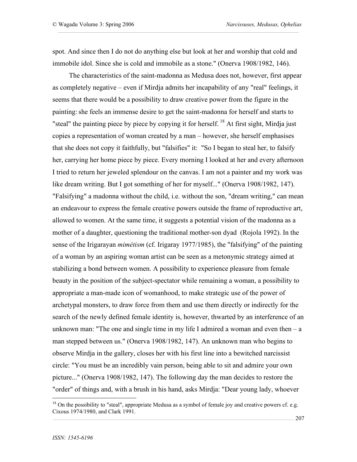spot. And since then I do not do anything else but look at her and worship that cold and immobile idol. Since she is cold and immobile as a stone." (Onerva 1908/1982, 146).

The characteristics of the saint-madonna as Medusa does not, however, first appear as completely negative – even if Mirdja admits her incapability of any "real" feelings, it seems that there would be a possibility to draw creative power from the figure in the painting: she feels an immense desire to get the saint-madonna for herself and starts to "steal" the painting piece by piece by copying it for herself.<sup>18</sup> At first sight, Mirdja just copies a representation of woman created by a man – however, she herself emphasises that she does not copy it faithfully, but "falsifies" it: "So I began to steal her, to falsify her, carrying her home piece by piece. Every morning I looked at her and every afternoon I tried to return her jeweled splendour on the canvas. I am not a painter and my work was like dream writing. But I got something of her for myself..." (Onerva 1908/1982, 147). "Falsifying" a madonna without the child, i.e. without the son, "dream writing," can mean an endeavour to express the female creative powers outside the frame of reproductive art, allowed to women. At the same time, it suggests a potential vision of the madonna as a mother of a daughter, questioning the traditional mother-son dyad (Rojola 1992). In the sense of the Irigarayan *mimétism* (cf. Irigaray 1977/1985), the "falsifying" of the painting of a woman by an aspiring woman artist can be seen as a metonymic strategy aimed at stabilizing a bond between women. A possibility to experience pleasure from female beauty in the position of the subject-spectator while remaining a woman, a possibility to appropriate a man-made icon of womanhood, to make strategic use of the power of archetypal monsters, to draw force from them and use them directly or indirectly for the search of the newly defined female identity is, however, thwarted by an interference of an unknown man: "The one and single time in my life I admired a woman and even then  $-a$ man stepped between us." (Onerva 1908/1982, 147). An unknown man who begins to observe Mirdja in the gallery, closes her with his first line into a bewitched narcissist circle: "You must be an incredibly vain person, being able to sit and admire your own picture..." (Onerva 1908/1982, 147). The following day the man decides to restore the "order" of things and, with a brush in his hand, asks Mirdja: "Dear young lady, whoever

 $18$  On the possibility to "steal", appropriate Medusa as a symbol of female joy and creative powers cf. e.g. Cixous 1974/1980, and Clark 1991.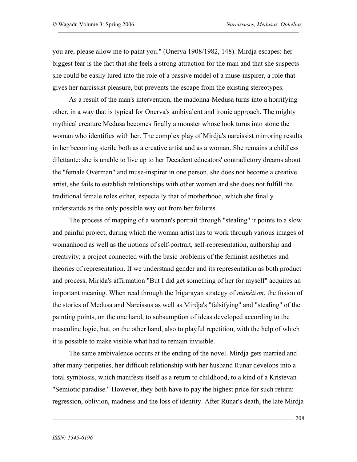you are, please allow me to paint you." (Onerva 1908/1982, 148). Mirdja escapes: her biggest fear is the fact that she feels a strong attraction for the man and that she suspects she could be easily lured into the role of a passive model of a muse-inspirer, a role that gives her narcissist pleasure, but prevents the escape from the existing stereotypes.

As a result of the man's intervention, the madonna-Medusa turns into a horrifying other, in a way that is typical for Onerva's ambivalent and ironic approach. The mighty mythical creature Medusa becomes finally a monster whose look turns into stone the woman who identifies with her. The complex play of Mirdja's narcissist mirroring results in her becoming sterile both as a creative artist and as a woman. She remains a childless dilettante: she is unable to live up to her Decadent educators' contradictory dreams about the "female Overman" and muse-inspirer in one person, she does not become a creative artist, she fails to establish relationships with other women and she does not fulfill the traditional female roles either, especially that of motherhood, which she finally understands as the only possible way out from her failures.

The process of mapping of a woman's portrait through "stealing" it points to a slow and painful project, during which the woman artist has to work through various images of womanhood as well as the notions of self-portrait, self-representation, authorship and creativity; a project connected with the basic problems of the feminist aesthetics and theories of representation. If we understand gender and its representation as both product and process, Mirjda's affirmation "But I did get something of her for myself" acquires an important meaning. When read through the Irigarayan strategy of *mimétism*, the fusion of the stories of Medusa and Narcissus as well as Mirdja's "falsifying" and "stealing" of the painting points, on the one hand, to subsumption of ideas developed according to the masculine logic, but, on the other hand, also to playful repetition, with the help of which it is possible to make visible what had to remain invisible.

The same ambivalence occurs at the ending of the novel. Mirdja gets married and after many peripeties, her difficult relationship with her husband Runar develops into a total symbiosis, which manifests itself as a return to childhood, to a kind of a Kristevan "Semiotic paradise." However, they both have to pay the highest price for such return: regression, oblivion, madness and the loss of identity. After Runar's death, the late Mirdja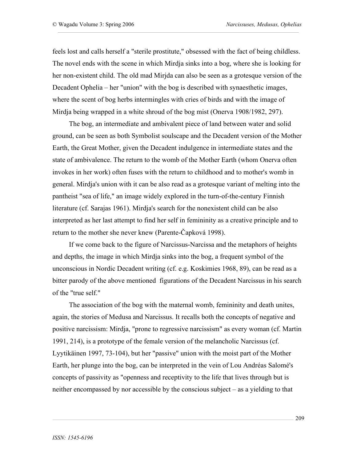feels lost and calls herself a "sterile prostitute," obsessed with the fact of being childless. The novel ends with the scene in which Mirdja sinks into a bog, where she is looking for her non-existent child. The old mad Mirjda can also be seen as a grotesque version of the Decadent Ophelia – her "union" with the bog is described with synaesthetic images, where the scent of bog herbs intermingles with cries of birds and with the image of Mirdja being wrapped in a white shroud of the bog mist (Onerva 1908/1982, 297).

The bog, an intermediate and ambivalent piece of land between water and solid ground, can be seen as both Symbolist soulscape and the Decadent version of the Mother Earth, the Great Mother, given the Decadent indulgence in intermediate states and the state of ambivalence. The return to the womb of the Mother Earth (whom Onerva often invokes in her work) often fuses with the return to childhood and to mother's womb in general. Mirdja's union with it can be also read as a grotesque variant of melting into the pantheist "sea of life," an image widely explored in the turn-of-the-century Finnish literature (cf. Sarajas 1961). Mirdja's search for the nonexistent child can be also interpreted as her last attempt to find her self in femininity as a creative principle and to return to the mother she never knew (Parente-Čapková 1998).

If we come back to the figure of Narcissus-Narcissa and the metaphors of heights and depths, the image in which Mirdja sinks into the bog, a frequent symbol of the unconscious in Nordic Decadent writing (cf. e.g. Koskimies 1968, 89), can be read as a bitter parody of the above mentioned figurations of the Decadent Narcissus in his search of the "true self."

The association of the bog with the maternal womb, femininity and death unites, again, the stories of Medusa and Narcissus. It recalls both the concepts of negative and positive narcissism: Mirdja, "prone to regressive narcissism" as every woman (cf. Martin 1991, 214), is a prototype of the female version of the melancholic Narcissus (cf. Lyytikäinen 1997, 73-104), but her "passive" union with the moist part of the Mother Earth, her plunge into the bog, can be interpreted in the vein of Lou Andréas Salomé's concepts of passivity as "openness and receptivity to the life that lives through but is neither encompassed by nor accessible by the conscious subject – as a yielding to that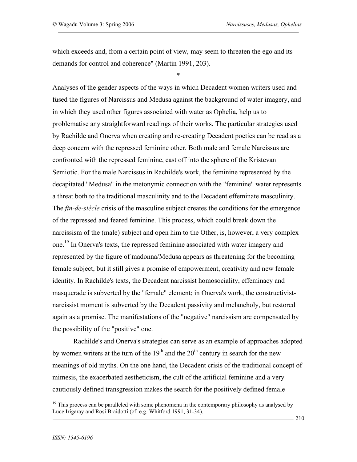which exceeds and, from a certain point of view, may seem to threaten the ego and its demands for control and coherence" (Martin 1991, 203).

\*

Analyses of the gender aspects of the ways in which Decadent women writers used and fused the figures of Narcissus and Medusa against the background of water imagery, and in which they used other figures associated with water as Ophelia, help us to problematise any straightforward readings of their works. The particular strategies used by Rachilde and Onerva when creating and re-creating Decadent poetics can be read as a deep concern with the repressed feminine other. Both male and female Narcissus are confronted with the repressed feminine, cast off into the sphere of the Kristevan Semiotic. For the male Narcissus in Rachilde's work, the feminine represented by the decapitated "Medusa" in the metonymic connection with the "feminine" water represents a threat both to the traditional masculinity and to the Decadent effeminate masculinity. The *fin-de-siècle* crisis of the masculine subject creates the conditions for the emergence of the repressed and feared feminine. This process, which could break down the narcissism of the (male) subject and open him to the Other, is, however, a very complex one.<sup>19</sup> In Onerva's texts, the repressed feminine associated with water imagery and represented by the figure of madonna/Medusa appears as threatening for the becoming female subject, but it still gives a promise of empowerment, creativity and new female identity. In Rachilde's texts, the Decadent narcissist homosociality, effeminacy and masquerade is subverted by the "female" element; in Onerva's work, the constructivistnarcissist moment is subverted by the Decadent passivity and melancholy, but restored again as a promise. The manifestations of the "negative" narcissism are compensated by the possibility of the "positive" one.

Rachilde's and Onerva's strategies can serve as an example of approaches adopted by women writers at the turn of the  $19<sup>th</sup>$  and the  $20<sup>th</sup>$  century in search for the new meanings of old myths. On the one hand, the Decadent crisis of the traditional concept of mimesis, the exacerbated aestheticism, the cult of the artificial feminine and a very cautiously defined transgression makes the search for the positively defined female

 $19$  This process can be paralleled with some phenomena in the contemporary philosophy as analysed by Luce Irigaray and Rosi Braidotti (cf. e.g. Whitford 1991, 31-34).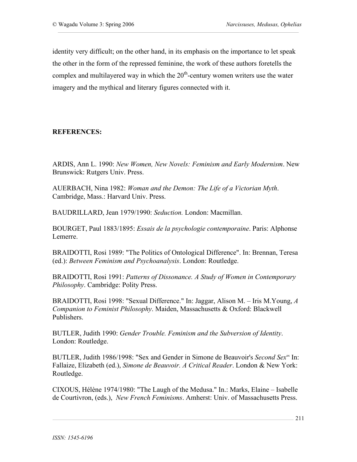identity very difficult; on the other hand, in its emphasis on the importance to let speak the other in the form of the repressed feminine, the work of these authors foretells the complex and multilayered way in which the  $20<sup>th</sup>$ -century women writers use the water imagery and the mythical and literary figures connected with it.

### **REFERENCES:**

ARDIS, Ann L. 1990: *New Women, New Novels: Feminism and Early Modernism*. New Brunswick: Rutgers Univ. Press.

AUERBACH, Nina 1982: *Woman and the Demon: The Life of a Victorian Myth*. Cambridge, Mass.: Harvard Univ. Press.

BAUDRILLARD, Jean 1979/1990: *Seduction.* London: Macmillan.

BOURGET, Paul 1883/1895: *Essais de la psychologie contemporaine*. Paris: Alphonse Lemerre.

BRAIDOTTI, Rosi 1989: "The Politics of Ontological Difference". In: Brennan, Teresa (ed.): *Between Feminism and Psychoanalysis*. London: Routledge.

BRAIDOTTI, Rosi 1991: *Patterns of Dissonance. A Study of Women in Contemporary Philosophy*. Cambridge: Polity Press.

BRAIDOTTI, Rosi 1998: "Sexual Difference." In: Jaggar, Alison M. – Iris M.Young, *A Companion to Feminist Philosophy*. Maiden, Massachusetts & Oxford: Blackwell Publishers.

BUTLER, Judith 1990: *Gender Trouble. Feminism and the Subversion of Identity*. London: Routledge.

BUTLER, Judith 1986/1998: "Sex and Gender in Simone de Beauvoir's *Second Sex*" In: Fallaize, Elizabeth (ed.), *Simone de Beauvoir. A Critical Reader*. London & New York: Routledge.

CIXOUS, Hélène 1974/1980: "The Laugh of the Medusa." In.: Marks, Elaine – Isabelle de Courtivron, (eds.), *New French Feminisms*. Amherst: Univ. of Massachusetts Press.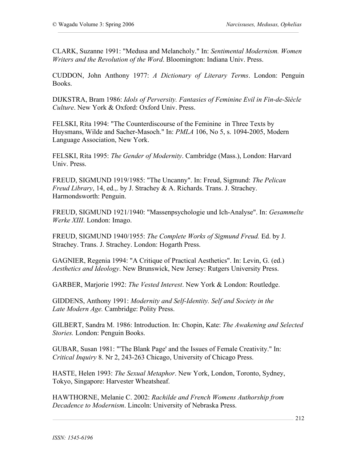CLARK, Suzanne 1991: "Medusa and Melancholy." In: *Sentimental Modernism. Women Writers and the Revolution of the Word*. Bloomington: Indiana Univ. Press.

CUDDON, John Anthony 1977: *A Dictionary of Literary Terms*. London: Penguin Books.

DIJKSTRA, Bram 1986: *Idols of Perversity. Fantasies of Feminine Evil in Fin-de-Siècle Culture*. New York & Oxford: Oxford Univ. Press.

FELSKI, Rita 1994: "The Counterdiscourse of the Feminine in Three Texts by Huysmans, Wilde and Sacher-Masoch." In: *PMLA* 106, No 5, s. 1094-2005, Modern Language Association, New York.

FELSKI, Rita 1995: *The Gender of Modernity*. Cambridge (Mass.), London: Harvard Univ. Press.

FREUD, SIGMUND 1919/1985: "The Uncanny". In: Freud, Sigmund: *The Pelican Freud Library*, 14, ed.,. by J. Strachey & A. Richards. Trans. J. Strachey. Harmondsworth: Penguin.

FREUD, SIGMUND 1921/1940: "Massenpsychologie und Ich-Analyse". In: *Gesammelte Werke XIII*. London: Imago.

FREUD, SIGMUND 1940/1955: *The Complete Works of Sigmund Freud.* Ed. by J. Strachey. Trans. J. Strachey. London: Hogarth Press.

GAGNIER, Regenia 1994: "A Critique of Practical Aesthetics". In: Levin, G. (ed.) *Aesthetics and Ideology*. New Brunswick, New Jersey: Rutgers University Press.

GARBER, Marjorie 1992: *The Vested Interest*. New York & London: Routledge.

GIDDENS, Anthony 1991: *Modernity and Self-Identity. Self and Society in the Late Modern Age.* Cambridge: Polity Press.

GILBERT, Sandra M. 1986: Introduction. In: Chopin, Kate: *The Awakening and Selected Stories.* London: Penguin Books.

GUBAR, Susan 1981: "'The Blank Page' and the Issues of Female Creativity." In: *Critical Inquiry* 8. Nr 2, 243-263 Chicago, University of Chicago Press.

HASTE, Helen 1993: *The Sexual Metaphor*. New York, London, Toronto, Sydney, Tokyo, Singapore: Harvester Wheatsheaf.

HAWTHORNE, Melanie C. 2002: *Rachilde and French Womens Authorship from Decadence to Modernism*. Lincoln: University of Nebraska Press.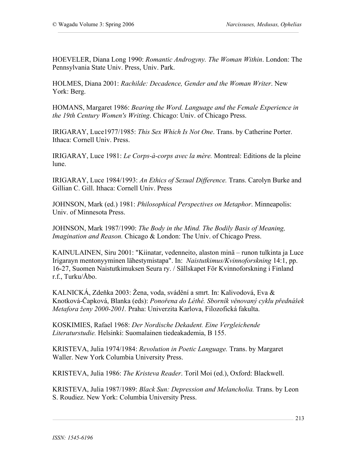HOEVELER, Diana Long 1990: *Romantic Androgyny. The Woman Within*. London: The Pennsylvania State Univ. Press, Univ. Park.

HOLMES, Diana 2001: *Rachilde: Decadence, Gender and the Woman Writer*. New York: Berg.

HOMANS, Margaret 1986: *Bearing the Word. Language and the Female Experience in the 19th Century Women's Writing*. Chicago: Univ. of Chicago Press.

IRIGARAY, Luce1977/1985: *This Sex Which Is Not One*. Trans. by Catherine Porter. Ithaca: Cornell Univ. Press.

IRIGARAY, Luce 1981: *Le Corps-à-corps avec la mère.* Montreal: Editions de la pleine lune.

IRIGARAY, Luce 1984/1993: *An Ethics of Sexual Difference.* Trans. Carolyn Burke and Gillian C. Gill. Ithaca: Cornell Univ. Press

JOHNSON, Mark (ed.) 1981: *Philosophical Perspectives on Metaphor*. Minneapolis: Univ. of Minnesota Press.

JOHNSON, Mark 1987/1990: *The Body in the Mind. The Bodily Basis of Meaning, Imagination and Reason.* Chicago & London: The Univ. of Chicago Press.

KAINULAINEN, Siru 2001: "Kiinatar, vedenneito, alaston minä – runon tulkinta ja Luce Irigarayn mentonyyminen lähestymistapa". In: *Naistutkimus/Kvinnoforskning* 14:1, pp. 16-27, Suomen Naistutkimuksen Seura ry. / Sällskapet För Kvinnoforskning i Finland r.f., Turku/Åbo.

KALNICKÁ, Zdeňka 2003: Žena, voda, svádění a smrt. In: Kalivodová, Eva & Knotková-Čapková, Blanka (eds): *Ponořena do Léthé. Sborník věnovaný cyklu přednášek Metafora ženy 2000-2001.* Praha: Univerzita Karlova, Filozofická fakulta.

KOSKIMIES, Rafael 1968: *Der Nordische Dekadent. Eine Vergleichende Literaturstudie.* Helsinki: Suomalainen tiedeakademia, B 155.

KRISTEVA, Julia 1974/1984: *Revolution in Poetic Language.* Trans. by Margaret Waller. New York Columbia University Press.

KRISTEVA, Julia 1986: *The Kristeva Reader*. Toril Moi (ed.), Oxford: Blackwell.

KRISTEVA, Julia 1987/1989: *Black Sun: Depression and Melancholia.* Trans. by Leon S. Roudiez. New York: Columbia University Press.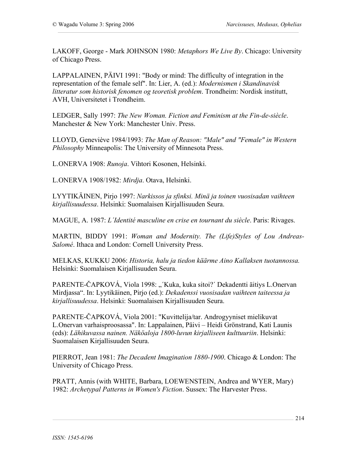LAKOFF, George - Mark JOHNSON 1980: *Metaphors We Live By*. Chicago: University of Chicago Press.

LAPPALAINEN, PÄIVI 1991: "Body or mind: The difficulty of integration in the representation of the female self". In: Lier, A. (ed.): *Modernismen i Skandinavisk litteratur som historisk fenomen og teoretisk problem*. Trondheim: Nordisk institutt, AVH, Universitetet i Trondheim.

LEDGER, Sally 1997: *The New Woman. Fiction and Feminism at the Fin-de-siècle*. Manchester & New York: Manchester Univ. Press.

LLOYD, Geneviève 1984/1993: *The Man of Reason: "Male" and "Female" in Western Philosophy* Minneapolis: The University of Minnesota Press.

L.ONERVA 1908: *Runoja*. Vihtori Kosonen, Helsinki.

L.ONERVA 1908/1982: *Mirdja*. Otava, Helsinki.

LYYTIKÄINEN, Pirjo 1997: *Narkissos ja sfinksi. Minä ja toinen vuosisadan vaihteen kirjallisuudessa*. Helsinki: Suomalaisen Kirjallisuuden Seura.

MAGUE, A. 1987: *L´Identité masculine en crise en tournant du siècle*. Paris: Rivages.

MARTIN, BIDDY 1991: *Woman and Modernity. The (Life)Styles of Lou Andreas-Salomé*. Ithaca and London: Cornell University Press.

MELKAS, KUKKU 2006: *Historia, halu ja tiedon käärme Aino Kallaksen tuotannossa.* Helsinki: Suomalaisen Kirjallisuuden Seura.

PARENTE-ČAPKOVÁ, Viola 1998: "´Kuka, kuka sitoi?´ Dekadentti äitiys L.Onervan Mirdjassa". In: Lyytikäinen, Pirjo (ed.): *Dekadenssi vuosisadan vaihteen taiteessa ja kirjallisuudessa*. Helsinki: Suomalaisen Kirjallisuuden Seura.

PARENTE-ČAPKOVÁ, Viola 2001: "Kuvittelija/tar. Androgyyniset mielikuvat L.Onervan varhaisproosassa". In: Lappalainen, Päivi – Heidi Grönstrand, Kati Launis (eds): *Lähikuvassa nainen. Näköaloja 1800-luvun kirjalliseen kulttuuriin*. Helsinki: Suomalaisen Kirjallisuuden Seura.

PIERROT, Jean 1981: *The Decadent Imagination 1880-1900*. Chicago & London: The University of Chicago Press.

PRATT, Annis (with WHITE, Barbara, LOEWENSTEIN, Andrea and WYER, Mary) 1982: *Archetypal Patterns in Women's Fiction*. Sussex: The Harvester Press.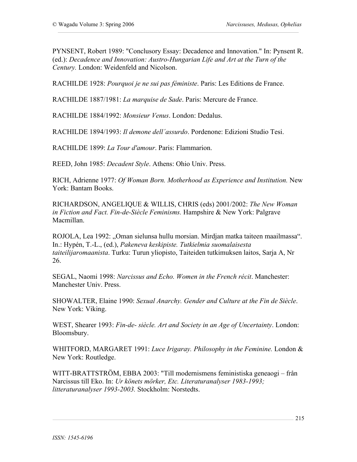PYNSENT, Robert 1989: "Conclusory Essay: Decadence and Innovation." In: Pynsent R. (ed.): *Decadence and Innovation: Austro-Hungarian Life and Art at the Turn of the Century.* London: Weidenfeld and Nicolson.

RACHILDE 1928: *Pourquoi je ne sui pas féministe*. Paris: Les Editions de France.

RACHILDE 1887/1981: *La marquise de Sade*. Paris: Mercure de France.

RACHILDE 1884/1992: *Monsieur Venus*. London: Dedalus.

RACHILDE 1894/1993: *Il demone dell´assurdo*. Pordenone: Edizioni Studio Tesi.

RACHILDE 1899: *La Tour d'amour*. Paris: Flammarion.

REED, John 1985: *Decadent Style*. Athens: Ohio Univ. Press.

RICH, Adrienne 1977: *Of Woman Born. Motherhood as Experience and Institution.* New York: Bantam Books.

RICHARDSON, ANGELIQUE & WILLIS, CHRIS (eds) 2001/2002: *The New Woman in Fiction and Fact. Fin-de-Siècle Feminisms.* Hampshire & New York: Palgrave Macmillan.

ROJOLA, Lea 1992: "Oman sielunsa hullu morsian. Mirdjan matka taiteen maailmassa". In.: Hypén, T.-L., (ed.), *Pakeneva keskipiste. Tutkielmia suomalaisesta taiteilijaromaanista*. Turku: Turun yliopisto, Taiteiden tutkimuksen laitos, Sarja A, Nr 26.

SEGAL, Naomi 1998: *Narcissus and Echo. Women in the French récit*. Manchester: Manchester Univ. Press.

SHOWALTER, Elaine 1990: *Sexual Anarchy. Gender and Culture at the Fin de Siècle*. New York: Viking.

WEST, Shearer 1993: *Fin-de- siècle. Art and Society in an Age of Uncertainty*. London: Bloomsbury.

WHITFORD, MARGARET 1991: *Luce Irigaray. Philosophy in the Feminine.* London & New York: Routledge.

WITT-BRATTSTRÖM, EBBA 2003: "Till modernismens feministiska geneaogi – från Narcissus till Eko. In: *Ur könets mörker, Etc. Literaturanalyser 1983-1993; litteraturanalyser 1993-2003.* Stockholm: Norstedts.